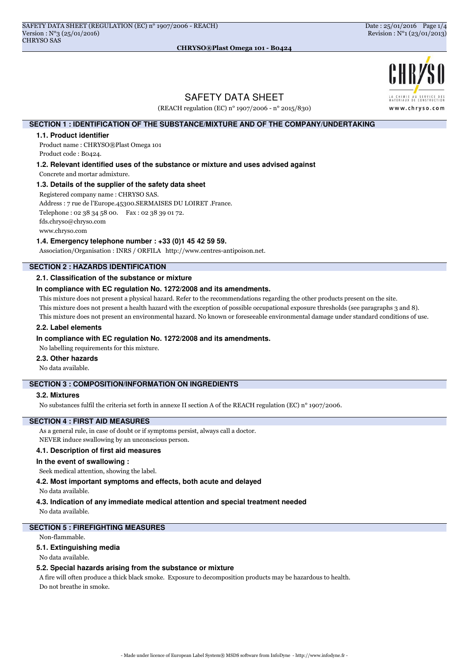

# SAFETY DATA SHEET

(REACH regulation (EC) n° 1907/2006 - n° 2015/830)

# **SECTION 1 : IDENTIFICATION OF THE SUBSTANCE/MIXTURE AND OF THE COMPANY/UNDERTAKING**

#### **1.1. Product identifier**

Product name : CHRYSO®Plast Omega 101 Product code : B0424.

**1.2. Relevant identified uses of the substance or mixture and uses advised against**

Concrete and mortar admixture.

#### **1.3. Details of the supplier of the safety data sheet**

Registered company name : CHRYSO SAS.

Address : 7 rue de l'Europe.45300.SERMAISES DU LOIRET .France.

Telephone : 02 38 34 58 00. Fax : 02 38 39 01 72. fds.chryso@chryso.com

www.chryso.com

#### **1.4. Emergency telephone number : +33 (0)1 45 42 59 59.**

Association/Organisation : INRS / ORFILA http://www.centres-antipoison.net.

# **SECTION 2 : HAZARDS IDENTIFICATION**

#### **2.1. Classification of the substance or mixture**

#### **In compliance with EC regulation No. 1272/2008 and its amendments.**

This mixture does not present a physical hazard. Refer to the recommendations regarding the other products present on the site.

This mixture does not present a health hazard with the exception of possible occupational exposure thresholds (see paragraphs 3 and 8).

This mixture does not present an environmental hazard. No known or foreseeable environmental damage under standard conditions of use.

# **2.2. Label elements**

#### **In compliance with EC regulation No. 1272/2008 and its amendments.**

No labelling requirements for this mixture.

#### **2.3. Other hazards**

No data available.

# **SECTION 3 : COMPOSITION/INFORMATION ON INGREDIENTS**

#### **3.2. Mixtures**

No substances fulfil the criteria set forth in annexe II section A of the REACH regulation (EC) n° 1907/2006.

# **SECTION 4 : FIRST AID MEASURES**

As a general rule, in case of doubt or if symptoms persist, always call a doctor. NEVER induce swallowing by an unconscious person.

#### **4.1. Description of first aid measures**

#### **In the event of swallowing :**

Seek medical attention, showing the label.

**4.2. Most important symptoms and effects, both acute and delayed**

No data available.

#### **4.3. Indication of any immediate medical attention and special treatment needed**

No data available.

### **SECTION 5 : FIREFIGHTING MEASURES**

#### Non-flammable.

#### **5.1. Extinguishing media**

No data available.

#### **5.2. Special hazards arising from the substance or mixture**

A fire will often produce a thick black smoke. Exposure to decomposition products may be hazardous to health. Do not breathe in smoke.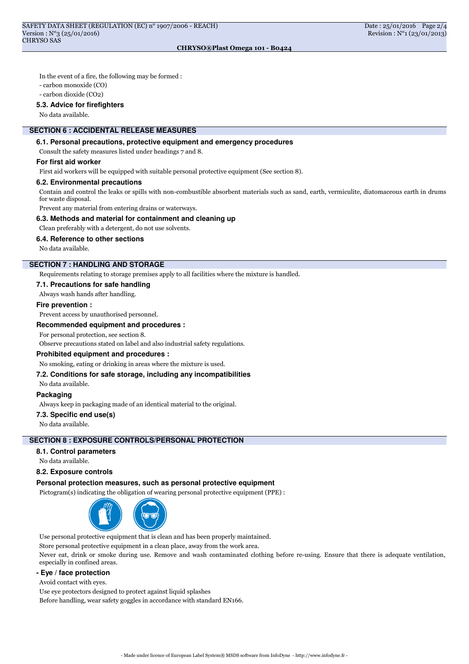In the event of a fire, the following may be formed :

- carbon monoxide (CO)

- carbon dioxide (CO2)

#### **5.3. Advice for firefighters**

No data available.

# **SECTION 6 : ACCIDENTAL RELEASE MEASURES**

# **6.1. Personal precautions, protective equipment and emergency procedures**

Consult the safety measures listed under headings 7 and 8.

### **For first aid worker**

First aid workers will be equipped with suitable personal protective equipment (See section 8).

# **6.2. Environmental precautions**

Contain and control the leaks or spills with non-combustible absorbent materials such as sand, earth, vermiculite, diatomaceous earth in drums for waste disposal.

Prevent any material from entering drains or waterways.

#### **6.3. Methods and material for containment and cleaning up**

Clean preferably with a detergent, do not use solvents.

#### **6.4. Reference to other sections**

No data available.

# **SECTION 7 : HANDLING AND STORAGE**

Requirements relating to storage premises apply to all facilities where the mixture is handled.

#### **7.1. Precautions for safe handling**

Always wash hands after handling.

#### **Fire prevention :**

Prevent access by unauthorised personnel.

#### **Recommended equipment and procedures :**

For personal protection, see section 8.

Observe precautions stated on label and also industrial safety regulations.

# **Prohibited equipment and procedures :**

No smoking, eating or drinking in areas where the mixture is used.

# **7.2. Conditions for safe storage, including any incompatibilities**

No data available.

# **Packaging**

Always keep in packaging made of an identical material to the original.

#### **7.3. Specific end use(s)**

No data available.

### **SECTION 8 : EXPOSURE CONTROLS/PERSONAL PROTECTION**

# **8.1. Control parameters**

No data available.

# **8.2. Exposure controls**

#### **Personal protection measures, such as personal protective equipment**

Pictogram(s) indicating the obligation of wearing personal protective equipment (PPE) :



Use personal protective equipment that is clean and has been properly maintained.

Store personal protective equipment in a clean place, away from the work area.

Never eat, drink or smoke during use. Remove and wash contaminated clothing before re-using. Ensure that there is adequate ventilation, especially in confined areas.

# **- Eye / face protection**

Avoid contact with eyes.

Use eye protectors designed to protect against liquid splashes

Before handling, wear safety goggles in accordance with standard EN166.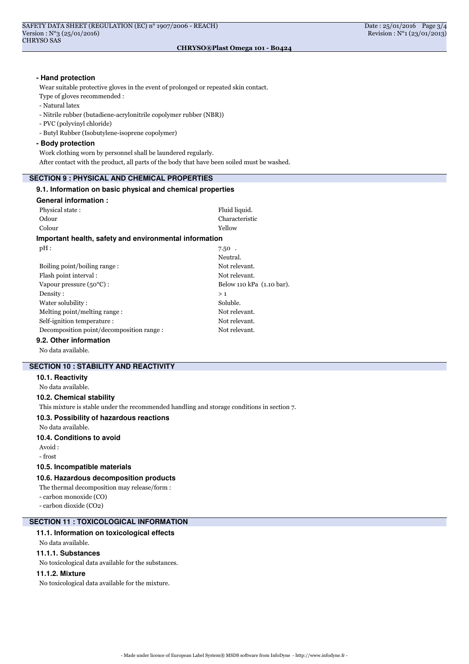#### **- Hand protection**

Wear suitable protective gloves in the event of prolonged or repeated skin contact.

- Type of gloves recommended :
- Natural latex
- Nitrile rubber (butadiene-acrylonitrile copolymer rubber (NBR))
- PVC (polyvinyl chloride)
- Butyl Rubber (Isobutylene-isoprene copolymer)
- **Body protection**

Work clothing worn by personnel shall be laundered regularly.

After contact with the product, all parts of the body that have been soiled must be washed.

# **SECTION 9 : PHYSICAL AND CHEMICAL PROPERTIES**

# **9.1. Information on basic physical and chemical properties General information :** Physical state : Fluid liquid. Odour Characteristic Colour Yellow **Important health, safety and environmental information**  $\mathrm{pH}:$  7.50  $\,$ Neutral. Boiling point/boiling range : Not relevant. Flash point interval : Not relevant. Vapour pressure (50°C) : Below 110 kPa (1.10 bar).  $Density:$  > 1 Water solubility : Soluble. Melting point/melting range : Not relevant. Self-ignition temperature : Not relevant. Decomposition point/decomposition range : Not relevant. **9.2. Other information**

No data available.

# **SECTION 10 : STABILITY AND REACTIVITY**

# **10.1. Reactivity**

No data available.

#### **10.2. Chemical stability**

This mixture is stable under the recommended handling and storage conditions in section 7.

# **10.3. Possibility of hazardous reactions**

No data available.

# **10.4. Conditions to avoid**

Avoid : - frost

# **10.5. Incompatible materials**

# **10.6. Hazardous decomposition products**

The thermal decomposition may release/form : - carbon monoxide (CO) - carbon dioxide (CO2)

# **SECTION 11 : TOXICOLOGICAL INFORMATION**

### **11.1. Information on toxicological effects**

# No data available.

# **11.1.1. Substances**

No toxicological data available for the substances.

# **11.1.2. Mixture**

No toxicological data available for the mixture.